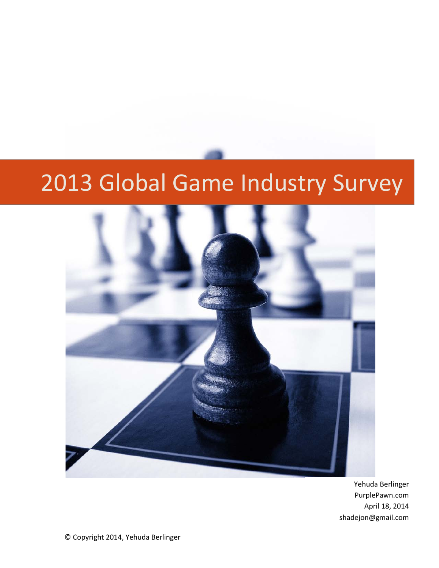# 2013 Global Game Industry Survey



Yehuda Berlinger PurplePawn.com April 18, 2014 shadejon@gmail.com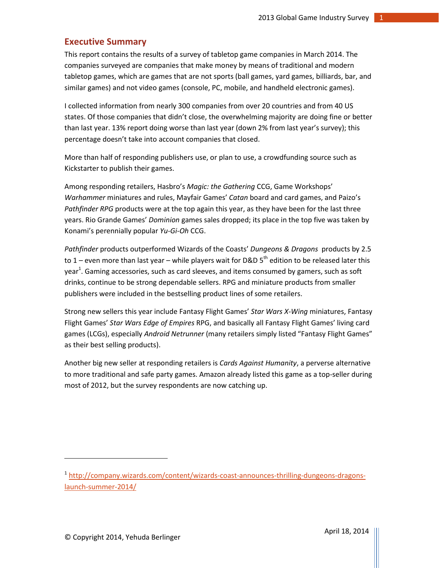## <span id="page-1-0"></span>**Executive Summary**

This report contains the results of a survey of tabletop game companies in March 2014. The companies surveyed are companies that make money by means of traditional and modern tabletop games, which are games that are not sports (ball games, yard games, billiards, bar, and similar games) and not video games (console, PC, mobile, and handheld electronic games).

I collected information from nearly 300 companies from over 20 countries and from 40 US states. Of those companies that didn't close, the overwhelming majority are doing fine or better than last year. 13% report doing worse than last year (down 2% from last year's survey); this percentage doesn't take into account companies that closed.

More than half of responding publishers use, or plan to use, a crowdfunding source such as Kickstarter to publish their games.

Among responding retailers, Hasbro's *Magic: the Gathering* CCG, Game Workshops' *Warhammer* miniatures and rules, Mayfair Games' *Catan* board and card games, and Paizo's *Pathfinder RPG* products were at the top again this year, as they have been for the last three years. Rio Grande Games' *Dominion* games sales dropped; its place in the top five was taken by Konami's perennially popular *Yu-Gi-Oh* CCG.

*Pathfinder* products outperformed Wizards of the Coasts' *Dungeons & Dragons* products by 2.5 to 1 – even more than last year – while players wait for D&D  $5<sup>th</sup>$  edition to be released later this year<sup>1</sup>. Gaming accessories, such as card sleeves, and items consumed by gamers, such as soft drinks, continue to be strong dependable sellers. RPG and miniature products from smaller publishers were included in the bestselling product lines of some retailers.

Strong new sellers this year include Fantasy Flight Games' *Star Wars X-Wing* miniatures, Fantasy Flight Games' *Star Wars Edge of Empires* RPG, and basically all Fantasy Flight Games' living card games (LCGs), especially *Android Netrunner* (many retailers simply listed "Fantasy Flight Games" as their best selling products).

Another big new seller at responding retailers is *Cards Against Humanity*, a perverse alternative to more traditional and safe party games. Amazon already listed this game as a top-seller during most of 2012, but the survey respondents are now catching up.

 $\overline{\phantom{a}}$ 

<sup>&</sup>lt;sup>1</sup> http://company.wizards.com/content/wizards-coast-announces-thrilling-dungeons-dragonslaunch-summer-2014/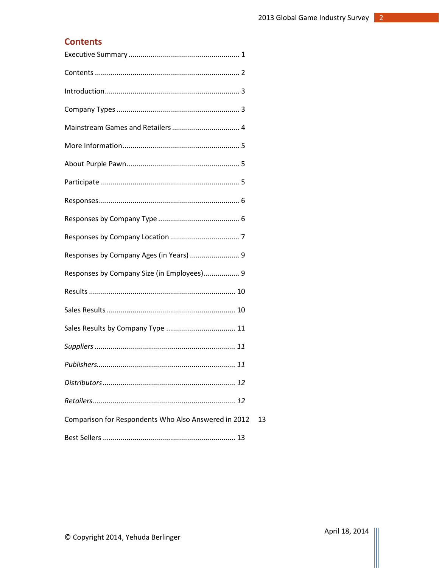# <span id="page-2-0"></span>**Contents**

| Responses by Company Ages (in Years)  9              |    |
|------------------------------------------------------|----|
| Responses by Company Size (in Employees) 9           |    |
|                                                      |    |
|                                                      |    |
|                                                      |    |
|                                                      |    |
|                                                      |    |
|                                                      |    |
|                                                      |    |
| Comparison for Respondents Who Also Answered in 2012 | 13 |
|                                                      |    |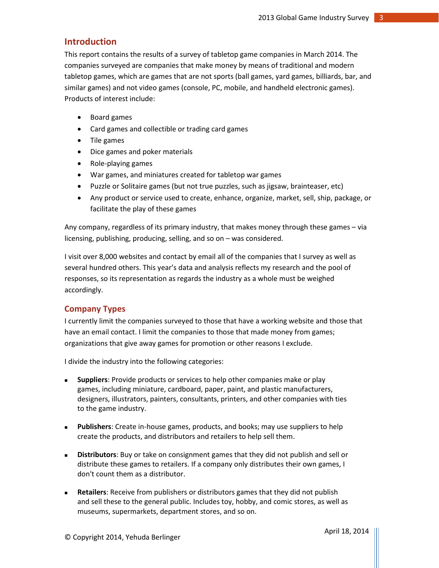## <span id="page-3-0"></span>**Introduction**

This report contains the results of a survey of tabletop game companies in March 2014. The companies surveyed are companies that make money by means of traditional and modern tabletop games, which are games that are not sports (ball games, yard games, billiards, bar, and similar games) and not video games (console, PC, mobile, and handheld electronic games). Products of interest include:

- Board games
- Card games and collectible or trading card games
- Tile games
- Dice games and poker materials
- Role-playing games
- War games, and miniatures created for tabletop war games
- Puzzle or Solitaire games (but not true puzzles, such as jigsaw, brainteaser, etc)
- Any product or service used to create, enhance, organize, market, sell, ship, package, or facilitate the play of these games

Any company, regardless of its primary industry, that makes money through these games – via licensing, publishing, producing, selling, and so on – was considered.

I visit over 8,000 websites and contact by email all of the companies that I survey as well as several hundred others. This year's data and analysis reflects my research and the pool of responses, so its representation as regards the industry as a whole must be weighed accordingly.

#### <span id="page-3-1"></span>**Company Types**

I currently limit the companies surveyed to those that have a working website and those that have an email contact. I limit the companies to those that made money from games; organizations that give away games for promotion or other reasons I exclude.

I divide the industry into the following categories:

- **Suppliers**: Provide products or services to help other companies make or play games, including miniature, cardboard, paper, paint, and plastic manufacturers, designers, illustrators, painters, consultants, printers, and other companies with ties to the game industry.
- **Publishers**: Create in-house games, products, and books; may use suppliers to help create the products, and distributors and retailers to help sell them.
- **Distributors**: Buy or take on consignment games that they did not publish and sell or distribute these games to retailers. If a company only distributes their own games, I don't count them as a distributor.
- **Retailers**: Receive from publishers or distributors games that they did not publish and sell these to the general public. Includes toy, hobby, and comic stores, as well as museums, supermarkets, department stores, and so on.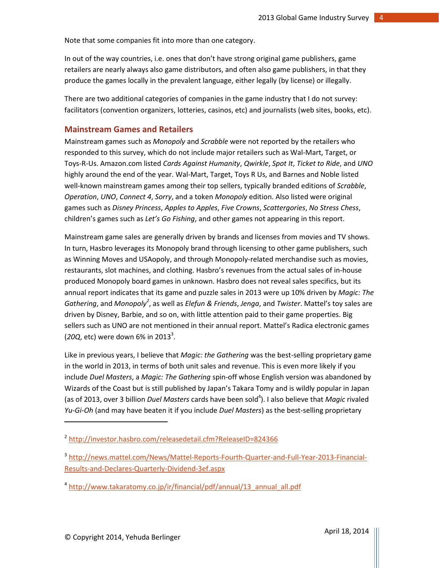Note that some companies fit into more than one category.

In out of the way countries, i.e. ones that don't have strong original game publishers, game retailers are nearly always also game distributors, and often also game publishers, in that they produce the games locally in the prevalent language, either legally (by license) or illegally.

There are two additional categories of companies in the game industry that I do not survey: facilitators (convention organizers, lotteries, casinos, etc) and journalists (web sites, books, etc).

## <span id="page-4-0"></span>**Mainstream Games and Retailers**

Mainstream games such as *Monopoly* and *Scrabble* were not reported by the retailers who responded to this survey, which do not include major retailers such as Wal-Mart, Target, or Toys-R-Us. Amazon.com listed *Cards Against Humanity*, *Qwirkle*, *Spot It*, *Ticket to Ride*, and *UNO* highly around the end of the year. Wal-Mart, Target, Toys R Us, and Barnes and Noble listed well-known mainstream games among their top sellers, typically branded editions of *Scrabble*, *Operation*, *UNO*, *Connect 4*, *Sorry*, and a token *Monopoly* edition. Also listed were original games such as *Disney Princess*, *Apples to Apples*, *Five Crowns*, *Scattergories*, *No Stress Chess*, children's games such as *Let's Go Fishing*, and other games not appearing in this report.

Mainstream game sales are generally driven by brands and licenses from movies and TV shows. In turn, Hasbro leverages its Monopoly brand through licensing to other game publishers, such as Winning Moves and USAopoly, and through Monopoly-related merchandise such as movies, restaurants, slot machines, and clothing. Hasbro's revenues from the actual sales of in-house produced Monopoly board games in unknown. Hasbro does not reveal sales specifics, but its annual report indicates that its game and puzzle sales in 2013 were up 10% driven by *Magic: The*  Gathering, and *Monopoly<sup>2</sup>*, as well as *Elefun & Friends, Jenga*, and *Twister*. Mattel's toy sales are driven by Disney, Barbie, and so on, with little attention paid to their game properties. Big sellers such as UNO are not mentioned in their annual report. Mattel's Radica electronic games (20Q, etc) were down 6% in 2013<sup>3</sup>.

Like in previous years, I believe that *Magic: the Gathering* was the best-selling proprietary game in the world in 2013, in terms of both unit sales and revenue. This is even more likely if you include *Duel Masters*, a *Magic: The Gathering* spin-off whose English version was abandoned by Wizards of the Coast but is still published by Japan's Takara Tomy and is wildly popular in Japan (as of 2013, over 3 billion *Duel Masters* cards have been sold<sup>4</sup>). I also believe that Magic rivaled *Yu-Gi-Oh* (and may have beaten it if you include *Duel Masters*) as the best-selling proprietary

l

<sup>&</sup>lt;sup>2</sup> <http://investor.hasbro.com/releasedetail.cfm?ReleaseID=824366>

<sup>3</sup> [http://news.mattel.com/News/Mattel-Reports-Fourth-Quarter-and-Full-Year-2013-Financial-](http://news.mattel.com/News/Mattel-Reports-Fourth-Quarter-and-Full-Year-2013-Financial-Results-and-Declares-Quarterly-Dividend-3ef.aspx)[Results-and-Declares-Quarterly-Dividend-3ef.aspx](http://news.mattel.com/News/Mattel-Reports-Fourth-Quarter-and-Full-Year-2013-Financial-Results-and-Declares-Quarterly-Dividend-3ef.aspx)

<sup>&</sup>lt;sup>4</sup> [http://www.takaratomy.co.jp/ir/financial/pdf/annual/13\\_annual\\_all.pdf](http://www.takaratomy.co.jp/ir/financial/pdf/annual/13_annual_all.pdf)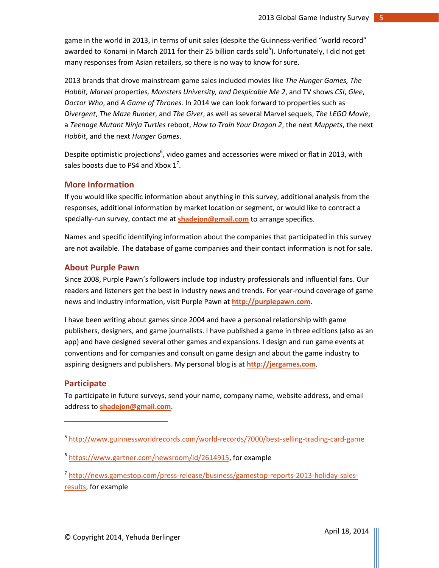game in the world in 2013, in terms of unit sales (despite the Guinness-verified "world record" awarded to Konami in March 2011 for their 25 billion cards sold<sup>5</sup>). Unfortunately, I did not get many responses from Asian retailers, so there is no way to know for sure.

2013 brands that drove mainstream game sales included movies like *The Hunger Games, The Hobbit, Marvel* properties*, Monsters University, and Despicable Me 2*, and TV shows *CSI*, *Glee*, *Doctor Who*, and *A Game of Thrones*. In 2014 we can look forward to properties such as *Divergent*, *The Maze Runner*, and *The Giver*, as well as several Marvel sequels, *The LEGO Movie*, a *Teenage Mutant Ninja Turtles* reboot, *How to Train Your Dragon 2*, the next *Muppets*, the next *Hobbit*, and the next *Hunger Games*.

Despite optimistic projections<sup>6</sup>, video games and accessories were mixed or flat in 2013, with sales boosts due to PS4 and Xbox  $1^7$ .

#### <span id="page-5-0"></span>**More Information**

If you would like specific information about anything in this survey, additional analysis from the responses, additional information by market location or segment, or would like to contract a specially-run survey, contact me at **[shadejon@gmail.com](mailto:shadejon@gmail.com)** to arrange specifics.

Names and specific identifying information about the companies that participated in this survey are not available. The database of game companies and their contact information is not for sale.

## <span id="page-5-1"></span>**About Purple Pawn**

Since 2008, Purple Pawn's followers include top industry professionals and influential fans. Our readers and listeners get the best in industry news and trends. For year-round coverage of game news and industry information, visit Purple Pawn at **[http://purplepawn.com](http://purplepawn.com/)**.

I have been writing about games since 2004 and have a personal relationship with game publishers, designers, and game journalists. I have published a game in three editions (also as an app) and have designed several other games and expansions. I design and run game events at conventions and for companies and consult on game design and about the game industry to aspiring designers and publishers. My personal blog is at **[http://jergames.com](http://jergames.com/)**.

#### <span id="page-5-2"></span>**Participate**

l

To participate in future surveys, send your name, company name, website address, and email address to **[shadejon@gmail.com](mailto:shadejon@gmail.com)**.

<sup>5</sup> <http://www.guinnessworldrecords.com/world-records/7000/best-selling-trading-card-game>

<sup>6</sup> [https://www.gartner.com/newsroom/id/2614915,](https://www.gartner.com/newsroom/id/2614915) for example

<sup>7</sup> [http://news.gamestop.com/press-release/business/gamestop-reports-2013-holiday-sales](http://news.gamestop.com/press-release/business/gamestop-reports-2013-holiday-sales-results)[results,](http://news.gamestop.com/press-release/business/gamestop-reports-2013-holiday-sales-results) for example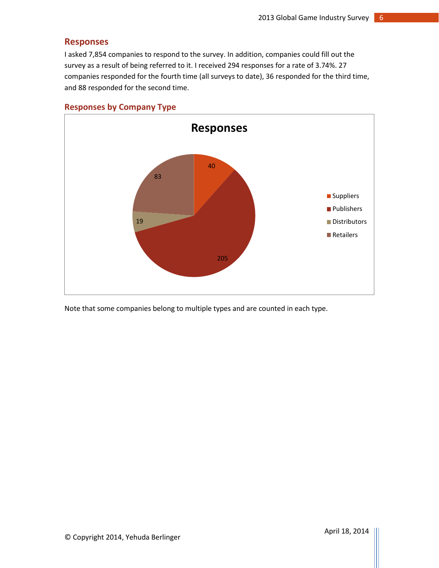## <span id="page-6-0"></span>**Responses**

I asked 7,854 companies to respond to the survey. In addition, companies could fill out the survey as a result of being referred to it. I received 294 responses for a rate of 3.74%. 27 companies responded for the fourth time (all surveys to date), 36 responded for the third time, and 88 responded for the second time.



## <span id="page-6-1"></span>**Responses by Company Type**

Note that some companies belong to multiple types and are counted in each type.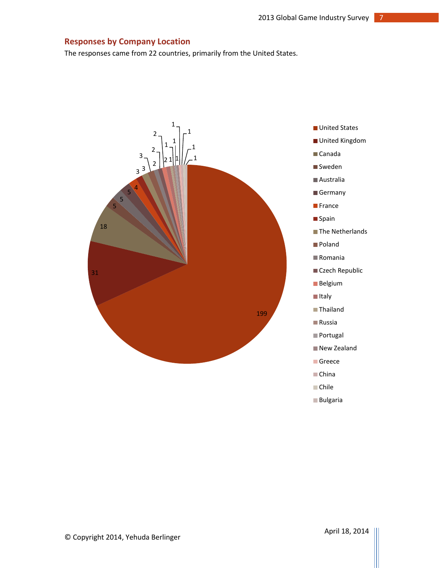## <span id="page-7-0"></span>**Responses by Company Location**

The responses came from 22 countries, primarily from the United States.

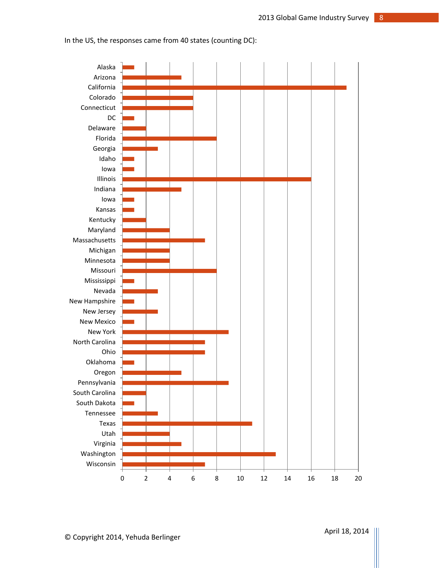

In the US, the responses came from 40 states (counting DC):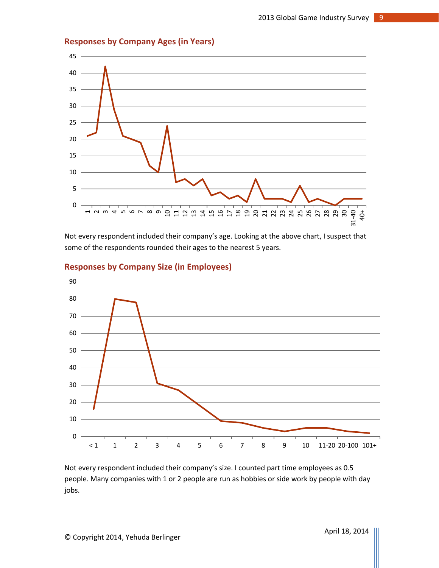<span id="page-9-0"></span>



Not every respondent included their company's age. Looking at the above chart, I suspect that some of the respondents rounded their ages to the nearest 5 years.



## <span id="page-9-1"></span>**Responses by Company Size (in Employees)**

Not every respondent included their company's size. I counted part time employees as 0.5 people. Many companies with 1 or 2 people are run as hobbies or side work by people with day jobs.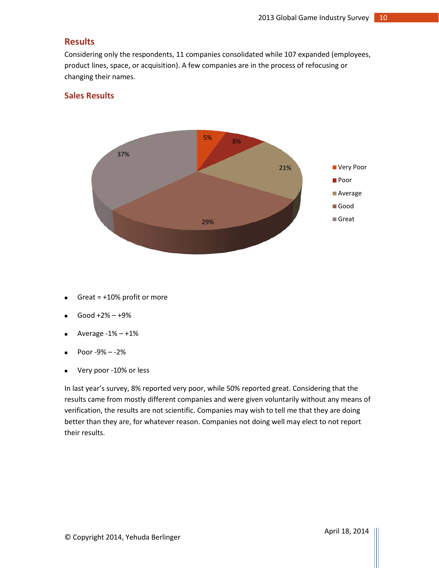## <span id="page-10-0"></span>**Results**

Considering only the respondents, 11 companies consolidated while 107 expanded (employees, product lines, space, or acquisition). A few companies are in the process of refocusing or changing their names.

## <span id="page-10-1"></span>**Sales Results**



- Great = +10% profit or more
- Good +2% +9%
- Average  $-1% +1%$
- $\blacksquare$  Poor -9% -2%
- Very poor -10% or less

In last year's survey, 8% reported very poor, while 50% reported great. Considering that the results came from mostly different companies and were given voluntarily without any means of verification, the results are not scientific. Companies may wish to tell me that they are doing better than they are, for whatever reason. Companies not doing well may elect to not report their results.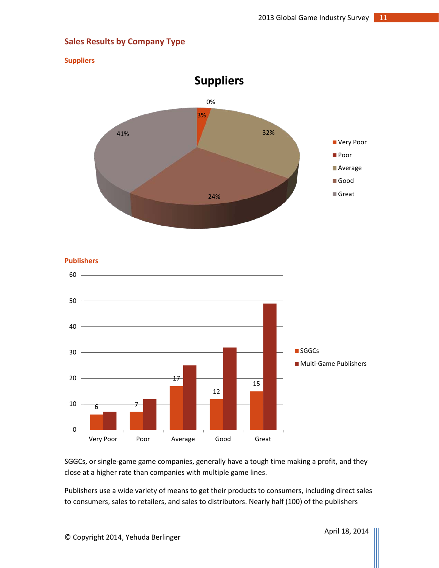## <span id="page-11-0"></span>**Sales Results by Company Type**

#### <span id="page-11-1"></span>**Suppliers**



<span id="page-11-2"></span>

SGGCs, or single-game game companies, generally have a tough time making a profit, and they close at a higher rate than companies with multiple game lines.

Publishers use a wide variety of means to get their products to consumers, including direct sales to consumers, sales to retailers, and sales to distributors. Nearly half (100) of the publishers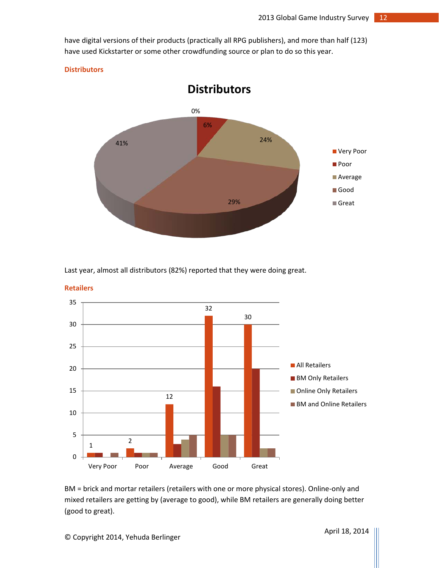have digital versions of their products (practically all RPG publishers), and more than half (123) have used Kickstarter or some other crowdfunding source or plan to do so this year.

#### <span id="page-12-0"></span>**Distributors**



Last year, almost all distributors (82%) reported that they were doing great.



<span id="page-12-1"></span>**Retailers**

BM = brick and mortar retailers (retailers with one or more physical stores). Online-only and mixed retailers are getting by (average to good), while BM retailers are generally doing better (good to great).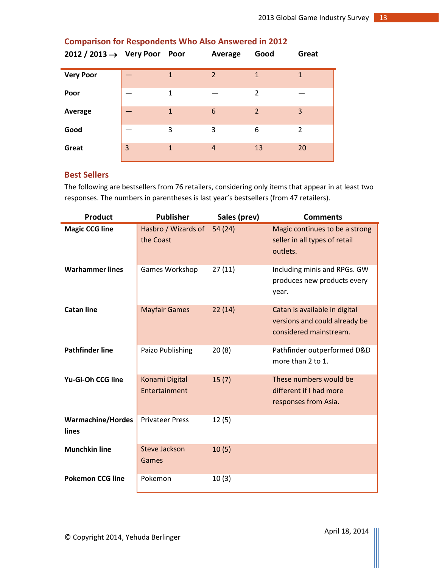| 2012 / 2013 $\rightarrow$ Very Poor Poor |   |   | Average        | Good           | Great          |
|------------------------------------------|---|---|----------------|----------------|----------------|
| <b>Very Poor</b>                         |   | 1 | $\overline{2}$ | 1              | 1              |
| Poor                                     |   | 1 |                | 2              |                |
| Average                                  |   | 1 | 6              | $\overline{2}$ | 3              |
| Good                                     |   | 3 | 3              | 6              | $\overline{2}$ |
| Great                                    | 3 | 1 | $\overline{A}$ | 13             | 20             |

## <span id="page-13-0"></span>**Comparison for Respondents Who Also Answered in 2012**

## <span id="page-13-1"></span>**Best Sellers**

The following are bestsellers from 76 retailers, considering only items that appear in at least two responses. The numbers in parentheses is last year's bestsellers (from 47 retailers).

| <b>Product</b>                    | <b>Publisher</b>                 | Sales (prev) | <b>Comments</b>                                                                          |
|-----------------------------------|----------------------------------|--------------|------------------------------------------------------------------------------------------|
| <b>Magic CCG line</b>             | Hasbro / Wizards of<br>the Coast | 54(24)       | Magic continues to be a strong<br>seller in all types of retail<br>outlets.              |
| <b>Warhammer lines</b>            | Games Workshop                   | 27(11)       | Including minis and RPGs. GW<br>produces new products every<br>year.                     |
| <b>Catan line</b>                 | <b>Mayfair Games</b>             | 22(14)       | Catan is available in digital<br>versions and could already be<br>considered mainstream. |
| <b>Pathfinder line</b>            | Paizo Publishing                 | 20(8)        | Pathfinder outperformed D&D<br>more than 2 to 1.                                         |
| Yu-Gi-Oh CCG line                 | Konami Digital<br>Entertainment  | 15(7)        | These numbers would be<br>different if I had more<br>responses from Asia.                |
| <b>Warmachine/Hordes</b><br>lines | <b>Privateer Press</b>           | 12(5)        |                                                                                          |
| <b>Munchkin line</b>              | <b>Steve Jackson</b><br>Games    | 10(5)        |                                                                                          |
| <b>Pokemon CCG line</b>           | Pokemon                          | 10(3)        |                                                                                          |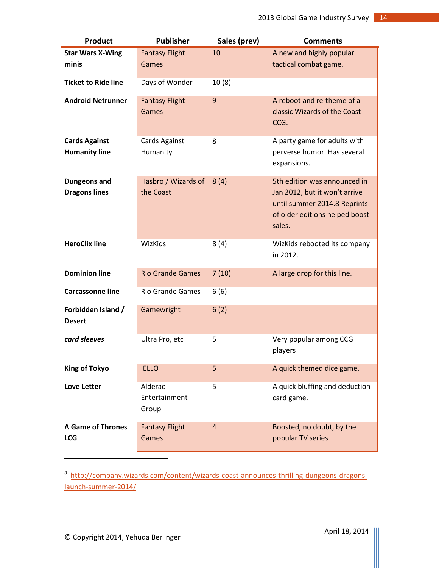| <b>Product</b>                              | <b>Publisher</b>                      | Sales (prev)   | <b>Comments</b>                                                                                                                           |
|---------------------------------------------|---------------------------------------|----------------|-------------------------------------------------------------------------------------------------------------------------------------------|
| <b>Star Wars X-Wing</b>                     | <b>Fantasy Flight</b>                 | 10             | A new and highly popular                                                                                                                  |
| minis                                       | Games                                 |                | tactical combat game.                                                                                                                     |
| <b>Ticket to Ride line</b>                  | Days of Wonder                        | 10(8)          |                                                                                                                                           |
| <b>Android Netrunner</b>                    | <b>Fantasy Flight</b><br><b>Games</b> | 9              | A reboot and re-theme of a<br>classic Wizards of the Coast<br>CCG.                                                                        |
| <b>Cards Against</b>                        | Cards Against                         | 8              | A party game for adults with                                                                                                              |
| <b>Humanity line</b>                        | Humanity                              |                | perverse humor. Has several<br>expansions.                                                                                                |
| <b>Dungeons and</b><br><b>Dragons lines</b> | Hasbro / Wizards of<br>the Coast      | 8(4)           | 5th edition was announced in<br>Jan 2012, but it won't arrive<br>until summer 2014.8 Reprints<br>of older editions helped boost<br>sales. |
| <b>HeroClix line</b>                        | WizKids                               | 8(4)           | WizKids rebooted its company<br>in 2012.                                                                                                  |
| <b>Dominion line</b>                        | <b>Rio Grande Games</b>               | 7(10)          | A large drop for this line.                                                                                                               |
| <b>Carcassonne line</b>                     | <b>Rio Grande Games</b>               | 6(6)           |                                                                                                                                           |
| Forbidden Island /<br><b>Desert</b>         | Gamewright                            | 6(2)           |                                                                                                                                           |
| card sleeves                                | Ultra Pro, etc                        | 5              | Very popular among CCG<br>players                                                                                                         |
| <b>King of Tokyo</b>                        | <b>IELLO</b>                          | 5              | A quick themed dice game.                                                                                                                 |
| <b>Love Letter</b>                          | Alderac<br>Entertainment<br>Group     | 5              | A quick bluffing and deduction<br>card game.                                                                                              |
| <b>A Game of Thrones</b><br><b>LCG</b>      | <b>Fantasy Flight</b><br>Games        | $\overline{4}$ | Boosted, no doubt, by the<br>popular TV series                                                                                            |
|                                             |                                       |                |                                                                                                                                           |

<sup>8</sup> [http://company.wizards.com/content/wizards-coast-announces-thrilling-dungeons-dragons](http://www.forbes.com/sites/davidewalt/2012/08/20/whats-next-with-dungeons-and-dragons/)[launch-summer-2014/](http://www.forbes.com/sites/davidewalt/2012/08/20/whats-next-with-dungeons-and-dragons/)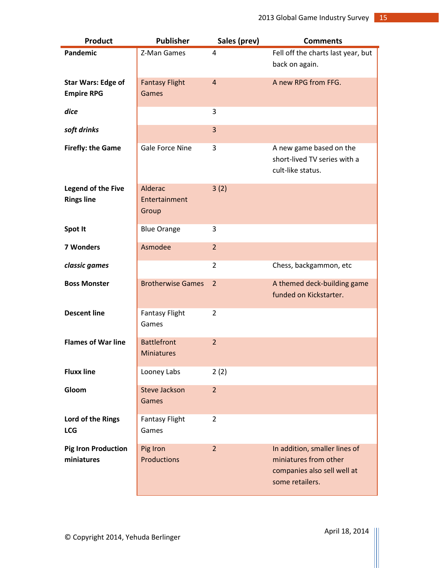| <b>Product</b>                                 | <b>Publisher</b>                        | Sales (prev)   | <b>Comments</b>                                                                                          |
|------------------------------------------------|-----------------------------------------|----------------|----------------------------------------------------------------------------------------------------------|
| Pandemic                                       | Z-Man Games                             | $\overline{4}$ | Fell off the charts last year, but<br>back on again.                                                     |
| <b>Star Wars: Edge of</b><br><b>Empire RPG</b> | <b>Fantasy Flight</b><br><b>Games</b>   | $\overline{4}$ | A new RPG from FFG.                                                                                      |
| dice                                           |                                         | 3              |                                                                                                          |
| soft drinks                                    |                                         | 3              |                                                                                                          |
| <b>Firefly: the Game</b>                       | Gale Force Nine                         | 3              | A new game based on the<br>short-lived TV series with a<br>cult-like status.                             |
| <b>Legend of the Five</b><br><b>Rings line</b> | Alderac<br>Entertainment<br>Group       | 3(2)           |                                                                                                          |
| Spot It                                        | <b>Blue Orange</b>                      | 3              |                                                                                                          |
| 7 Wonders                                      | Asmodee                                 | $\overline{2}$ |                                                                                                          |
| classic games                                  |                                         | 2              | Chess, backgammon, etc                                                                                   |
| <b>Boss Monster</b>                            | <b>Brotherwise Games</b>                | $\overline{2}$ | A themed deck-building game<br>funded on Kickstarter.                                                    |
| <b>Descent line</b>                            | <b>Fantasy Flight</b><br>Games          | $\overline{2}$ |                                                                                                          |
| <b>Flames of War line</b>                      | <b>Battlefront</b><br><b>Miniatures</b> | $\overline{2}$ |                                                                                                          |
| <b>Fluxx line</b>                              | Looney Labs                             | 2(2)           |                                                                                                          |
| Gloom                                          | <b>Steve Jackson</b><br>Games           | $\overline{2}$ |                                                                                                          |
| Lord of the Rings<br><b>LCG</b>                | <b>Fantasy Flight</b><br>Games          | 2              |                                                                                                          |
| <b>Pig Iron Production</b><br>miniatures       | Pig Iron<br><b>Productions</b>          | $\overline{2}$ | In addition, smaller lines of<br>miniatures from other<br>companies also sell well at<br>some retailers. |